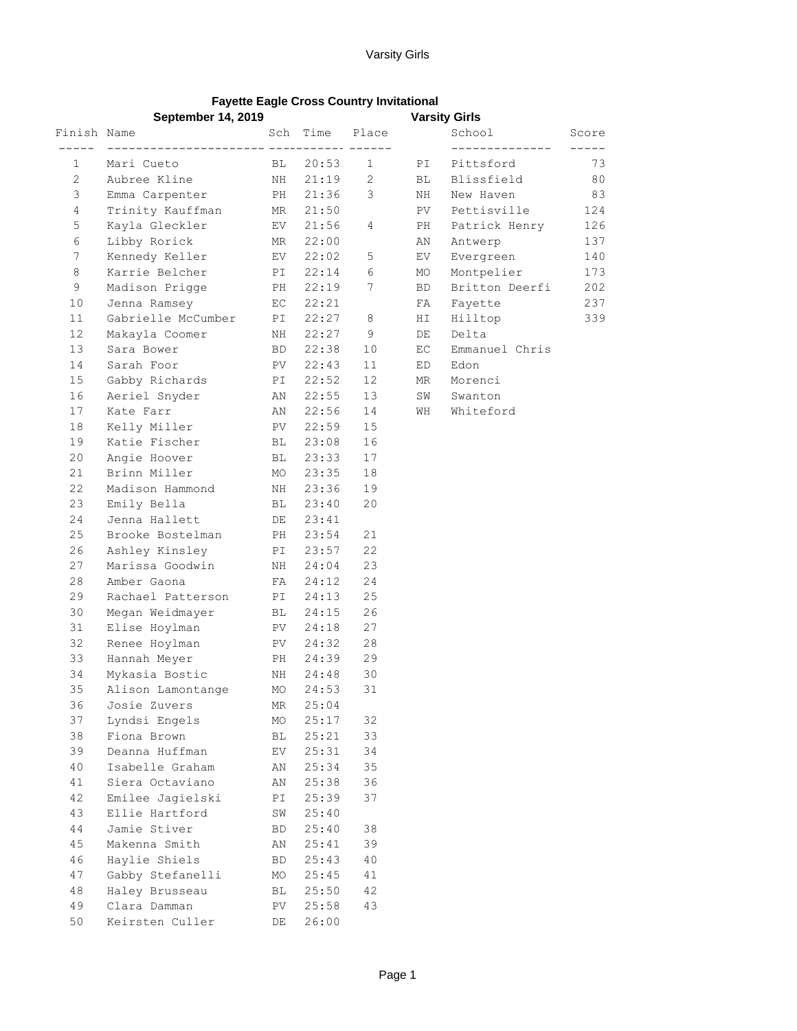## Varsity Girls

## **Fayette Eagle Cross Country Invitational September 14, 2019**

|                        | $o$ eptemper 14, zv $13$      |    |                          | varsity Girls |               |                           |                        |
|------------------------|-------------------------------|----|--------------------------|---------------|---------------|---------------------------|------------------------|
|                        |                               |    |                          |               |               | School<br>_______________ | Score<br>$- - - - - -$ |
| $1 \quad \blacksquare$ | Mari Cueto                    |    |                          |               |               | BL 20:53 1 PI Pittsford   | 73                     |
| 2                      | Aubree Kline                  |    |                          |               | $\mathbf{BL}$ | Blissfield                | 80                     |
| 3                      | Emma Carpenter                |    | NH 21:19 2<br>PH 21:36 3 |               | NH            | New Haven                 | 83                     |
| 4                      | Trinity Kauffman MR 21:50     |    |                          |               |               | PV Pettisville            | 124                    |
| 5                      | Kayla Gleckler                |    | $EV$ 21:56 4             |               |               | PH Patrick Henry          | 126                    |
| 6                      | Libby Rorick                  |    | MR 22:00                 |               | AN            | Antwerp                   | 137                    |
| 7                      | Kennedy Keller                |    | EV 22:02 5               |               | EV            | Evergreen                 | 140                    |
| 8                      | Karrie Belcher                |    | PI 22:14 6               |               | MO            | Montpelier                | 173                    |
| 9                      | Madison Prigge                |    | PH 22:19 7               |               | <b>BD</b>     | Britton Deerfi            | 202                    |
| 10                     | Jenna Ramsey                  |    | EC 22:21                 |               |               | FA Fayette                | 237                    |
| 11                     | Gabrielle McCumber PI 22:27 8 |    |                          |               |               | HI Hilltop                | 339                    |
| 12                     | Makayla Coomer                |    | NH 22:27 9               |               | DE            | Delta                     |                        |
| 13                     | Sara Bower                    |    | BD 22:38                 | 10            | EC            | Emmanuel Chris            |                        |
| 14                     | Sarah Foor                    |    | PV 22:43                 | 11            | ED            | Edon                      |                        |
| 15                     | Gabby Richards PI 22:52       |    |                          | 12            |               | MR Morenci                |                        |
| 16                     | Aeriel Snyder MN 22:55        |    |                          | 13            |               | SW Swanton                |                        |
| 17                     | Kate Farr                     |    | AN 22:56                 | 14            |               | WH Whiteford              |                        |
| 18                     | Kelly Miller PV 22:59         |    |                          | 15            |               |                           |                        |
|                        | 19 Katie Fischer BL 23:08     |    |                          | 16            |               |                           |                        |
| 20                     | Angie Hoover BL 23:33         |    |                          | 17            |               |                           |                        |
| 21                     | MO 23:35<br>Brinn Miller      |    |                          | 18            |               |                           |                        |
| 22                     | Madison Hammond NH 23:36      |    |                          | 19            |               |                           |                        |
| 23                     | Emily Bella BL 23:40          |    |                          | 20            |               |                           |                        |
| 24                     | Jenna Hallett DE 23:41        |    |                          |               |               |                           |                        |
| 25                     | Brooke Bostelman PH 23:54     |    |                          | 21            |               |                           |                        |
| 26                     | Ashley Kinsley PI 23:57       |    |                          | 22            |               |                           |                        |
| 27                     | Marissa Goodwin NH 24:04      |    |                          | 23            |               |                           |                        |
| 28                     | FA 24:12<br>Amber Gaona       |    |                          | 24            |               |                           |                        |
| 29                     | Rachael Patterson PI 24:13    |    |                          | 25            |               |                           |                        |
| 30                     | Megan Weidmayer BL 24:15      |    |                          | 26            |               |                           |                        |
| 31                     | Elise Hoylman Nev 24:18       |    |                          | 27            |               |                           |                        |
| 32                     | Renee Hoylman PV 24:32        |    |                          | 28            |               |                           |                        |
| 33                     | Hannah Meyer BH 24:39         |    |                          | 29            |               |                           |                        |
| 34                     | Mykasia Bostic NH 24:48 30    |    |                          |               |               |                           |                        |
| 35                     | Alison Lamontange MO 24:53    |    |                          | 31            |               |                           |                        |
| 36                     | Josie Zuvers                  | ΜR | 25:04                    |               |               |                           |                        |
| 37                     | Lyndsi Engels                 | МO | 25:17                    | 32            |               |                           |                        |
| 38                     | Fiona Brown                   | ВL | 25:21                    | 33            |               |                           |                        |
| 39                     | Deanna Huffman                | EV | 25:31                    | 34            |               |                           |                        |
| 40                     | Isabelle Graham               | ΑN | 25:34                    | 35            |               |                           |                        |
| 41                     | Siera Octaviano               | ΑN | 25:38                    | 36            |               |                           |                        |
| 42                     | Emilee Jagielski              | ΡI | 25:39                    | 37            |               |                           |                        |
| 43                     | Ellie Hartford                | SW | 25:40                    |               |               |                           |                        |
| 44                     | Jamie Stiver                  | BD | 25:40                    | 38            |               |                           |                        |
| 45                     | Makenna Smith                 | ΑN | 25:41                    | 39            |               |                           |                        |
| 46                     | Haylie Shiels                 | BD | 25:43                    | 40            |               |                           |                        |
| 47                     | Gabby Stefanelli              | MO | 25:45                    | 41            |               |                           |                        |
| 48                     | Haley Brusseau                | ВL | 25:50                    | 42            |               |                           |                        |
| 49                     | Clara Damman                  | PV | 25:58                    | 43            |               |                           |                        |
| 50                     | Keirsten Culler               | DE | 26:00                    |               |               |                           |                        |